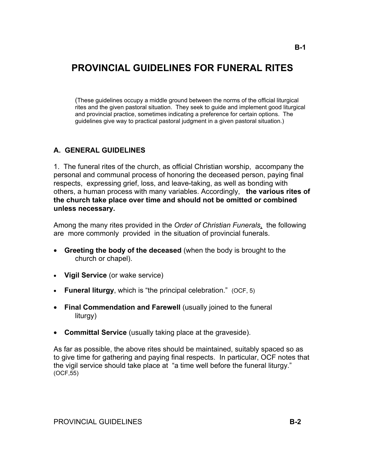# **PROVINCIAL GUIDELINES FOR FUNERAL RITES**

 (These guidelines occupy a middle ground between the norms of the official liturgical rites and the given pastoral situation. They seek to guide and implement good liturgical and provincial practice, sometimes indicating a preference for certain options. The guidelines give way to practical pastoral judgment in a given pastoral situation.)

# **A. GENERAL GUIDELINES**

1. The funeral rites of the church, as official Christian worship, accompany the personal and communal process of honoring the deceased person, paying final respects, expressing grief, loss, and leave-taking, as well as bonding with others, a human process with many variables. Accordingly, **the various rites of the church take place over time and should not be omitted or combined unless necessary.** 

Among the many rites provided in the *Order of Christian Funerals*, the following are more commonly provided in the situation of provincial funerals.

- **Greeting the body of the deceased** (when the body is brought to the church or chapel).
- **Vigil Service** (or wake service)
- **Funeral liturgy**, which is "the principal celebration." (OCF, 5)
- **Final Commendation and Farewell** (usually joined to the funeral liturgy)
- **Committal Service** (usually taking place at the graveside).

As far as possible, the above rites should be maintained, suitably spaced so as to give time for gathering and paying final respects. In particular, OCF notes that the vigil service should take place at "a time well before the funeral liturgy." (OCF,55)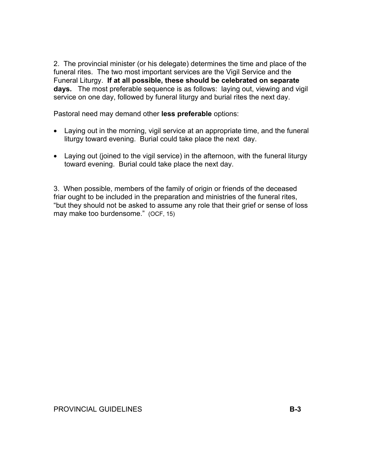2. The provincial minister (or his delegate) determines the time and place of the funeral rites. The two most important services are the Vigil Service and the Funeral Liturgy. **If at all possible, these should be celebrated on separate days.** The most preferable sequence is as follows: laying out, viewing and vigil service on one day, followed by funeral liturgy and burial rites the next day.

Pastoral need may demand other **less preferable** options:

- Laying out in the morning, vigil service at an appropriate time, and the funeral liturgy toward evening. Burial could take place the next day.
- Laying out (joined to the vigil service) in the afternoon, with the funeral liturgy toward evening. Burial could take place the next day.

3. When possible, members of the family of origin or friends of the deceased friar ought to be included in the preparation and ministries of the funeral rites, "but they should not be asked to assume any role that their grief or sense of loss may make too burdensome." (OCF, 15)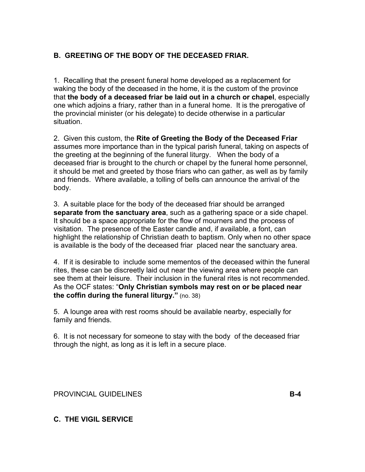# **B. GREETING OF THE BODY OF THE DECEASED FRIAR.**

1. Recalling that the present funeral home developed as a replacement for waking the body of the deceased in the home, it is the custom of the province that **the body of a deceased friar be laid out in a church or chapel**, especially one which adjoins a friary, rather than in a funeral home. It is the prerogative of the provincial minister (or his delegate) to decide otherwise in a particular situation.

2. Given this custom, the **Rite of Greeting the Body of the Deceased Friar** assumes more importance than in the typical parish funeral, taking on aspects of the greeting at the beginning of the funeral liturgy. When the body of a deceased friar is brought to the church or chapel by the funeral home personnel, it should be met and greeted by those friars who can gather, as well as by family and friends. Where available, a tolling of bells can announce the arrival of the body.

3. A suitable place for the body of the deceased friar should be arranged **separate from the sanctuary area**, such as a gathering space or a side chapel. It should be a space appropriate for the flow of mourners and the process of visitation. The presence of the Easter candle and, if available, a font, can highlight the relationship of Christian death to baptism. Only when no other space is available is the body of the deceased friar placed near the sanctuary area.

4. If it is desirable to include some mementos of the deceased within the funeral rites, these can be discreetly laid out near the viewing area where people can see them at their leisure. Their inclusion in the funeral rites is not recommended. As the OCF states: "**Only Christian symbols may rest on or be placed near the coffin during the funeral liturgy."** (no. 38)

5. A lounge area with rest rooms should be available nearby, especially for family and friends.

6. It is not necessary for someone to stay with the body of the deceased friar through the night, as long as it is left in a secure place.

PROVINCIAL GUIDELINES **B-4** 

# **C. THE VIGIL SERVICE**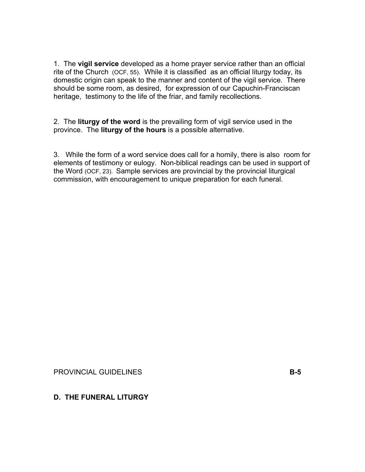1. The **vigil service** developed as a home prayer service rather than an official rite of the Church (OCF, 55). While it is classified as an official liturgy today, its domestic origin can speak to the manner and content of the vigil service. There should be some room, as desired, for expression of our Capuchin-Franciscan heritage, testimony to the life of the friar, and family recollections.

2. The **liturgy of the word** is the prevailing form of vigil service used in the province. The **liturgy of the hours** is a possible alternative.

3. While the form of a word service does call for a homily, there is also room for elements of testimony or eulogy. Non-biblical readings can be used in support of the Word (OCF, 23). Sample services are provincial by the provincial liturgical commission, with encouragement to unique preparation for each funeral.

PROVINCIAL GUIDELINES **B-5** 

**D. THE FUNERAL LITURGY**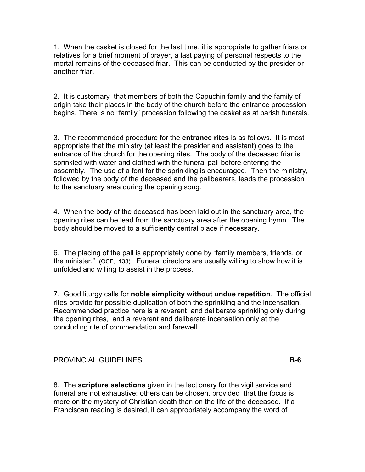1. When the casket is closed for the last time, it is appropriate to gather friars or relatives for a brief moment of prayer, a last paying of personal respects to the mortal remains of the deceased friar. This can be conducted by the presider or another friar.

2. It is customary that members of both the Capuchin family and the family of origin take their places in the body of the church before the entrance procession begins. There is no "family" procession following the casket as at parish funerals.

3. The recommended procedure for the **entrance rites** is as follows. It is most appropriate that the ministry (at least the presider and assistant) goes to the entrance of the church for the opening rites. The body of the deceased friar is sprinkled with water and clothed with the funeral pall before entering the assembly. The use of a font for the sprinkling is encouraged. Then the ministry, followed by the body of the deceased and the pallbearers, leads the procession to the sanctuary area during the opening song.

4. When the body of the deceased has been laid out in the sanctuary area, the opening rites can be lead from the sanctuary area after the opening hymn. The body should be moved to a sufficiently central place if necessary.

6. The placing of the pall is appropriately done by "family members, friends, or the minister." (OCF, 133) Funeral directors are usually willing to show how it is unfolded and willing to assist in the process.

7. Good liturgy calls for **noble simplicity without undue repetition**. The official rites provide for possible duplication of both the sprinkling and the incensation. Recommended practice here is a reverent and deliberate sprinkling only during the opening rites, and a reverent and deliberate incensation only at the concluding rite of commendation and farewell.

### PROVINCIAL GUIDELINES **B-6**

8. The **scripture selections** given in the lectionary for the vigil service and funeral are not exhaustive; others can be chosen, provided that the focus is more on the mystery of Christian death than on the life of the deceased. If a Franciscan reading is desired, it can appropriately accompany the word of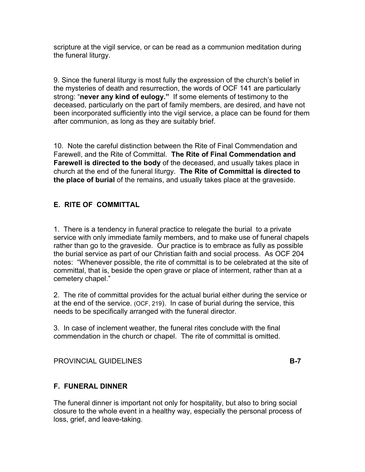scripture at the vigil service, or can be read as a communion meditation during the funeral liturgy.

9. Since the funeral liturgy is most fully the expression of the church's belief in the mysteries of death and resurrection, the words of OCF 141 are particularly strong: "**never any kind of eulogy."** If some elements of testimony to the deceased, particularly on the part of family members, are desired, and have not been incorporated sufficiently into the vigil service, a place can be found for them after communion, as long as they are suitably brief.

10. Note the careful distinction between the Rite of Final Commendation and Farewell, and the Rite of Committal. **The Rite of Final Commendation and Farewell is directed to the body** of the deceased, and usually takes place in church at the end of the funeral liturgy. **The Rite of Committal is directed to the place of burial** of the remains, and usually takes place at the graveside.

# **E. RITE OF COMMITTAL**

1. There is a tendency in funeral practice to relegate the burial to a private service with only immediate family members, and to make use of funeral chapels rather than go to the graveside. Our practice is to embrace as fully as possible the burial service as part of our Christian faith and social process. As OCF 204 notes: "Whenever possible, the rite of committal is to be celebrated at the site of committal, that is, beside the open grave or place of interment, rather than at a cemetery chapel."

2. The rite of committal provides for the actual burial either during the service or at the end of the service. (OCF, 219). In case of burial during the service, this needs to be specifically arranged with the funeral director.

3. In case of inclement weather, the funeral rites conclude with the final commendation in the church or chapel. The rite of committal is omitted.

PROVINCIAL GUIDELINES **B-7** 

# **F. FUNERAL DINNER**

The funeral dinner is important not only for hospitality, but also to bring social closure to the whole event in a healthy way, especially the personal process of loss, grief, and leave-taking.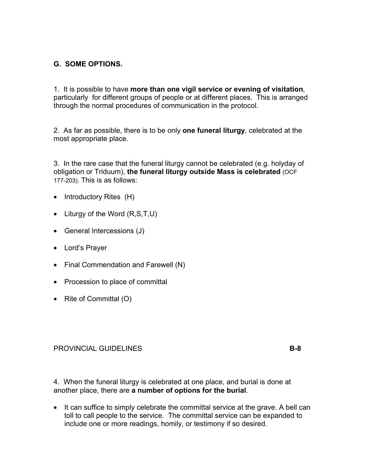# **G. SOME OPTIONS.**

1. It is possible to have **more than one vigil service or evening of visitation**, particularly for different groups of people or at different places. This is arranged through the normal procedures of communication in the protocol.

2. As far as possible, there is to be only **one funeral liturgy**, celebrated at the most appropriate place.

3. In the rare case that the funeral liturgy cannot be celebrated (e.g. holyday of obligation or Triduum), **the funeral liturgy outside Mass is celebrated** (OCF 177-203). This is as follows:

- Introductory Rites (H)
- Liturgy of the Word (R,S,T,U)
- General Intercessions (J)
- Lord's Prayer
- Final Commendation and Farewell (N)
- Procession to place of committal
- Rite of Committal (O)

### PROVINCIAL GUIDELINES **B-8**

4. When the funeral liturgy is celebrated at one place, and burial is done at another place, there are **a number of options for the burial**.

• It can suffice to simply celebrate the committal service at the grave. A bell can toll to call people to the service. The committal service can be expanded to include one or more readings, homily, or testimony if so desired.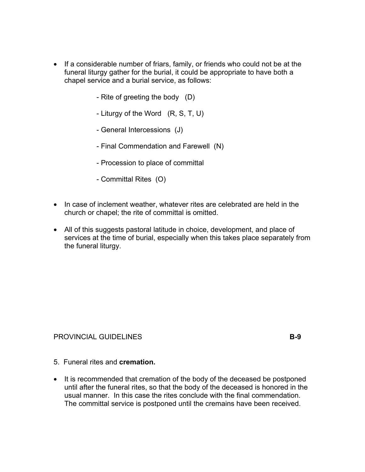- If a considerable number of friars, family, or friends who could not be at the funeral liturgy gather for the burial, it could be appropriate to have both a chapel service and a burial service, as follows:
	- Rite of greeting the body (D)
	- Liturgy of the Word (R, S, T, U)
	- General Intercessions (J)
	- Final Commendation and Farewell (N)
	- Procession to place of committal
	- Committal Rites (O)
- In case of inclement weather, whatever rites are celebrated are held in the church or chapel; the rite of committal is omitted.
- All of this suggests pastoral latitude in choice, development, and place of services at the time of burial, especially when this takes place separately from the funeral liturgy.

#### PROVINCIAL GUIDELINES **B-9**

- 5. Funeral rites and **cremation.**
- It is recommended that cremation of the body of the deceased be postponed until after the funeral rites, so that the body of the deceased is honored in the usual manner. In this case the rites conclude with the final commendation. The committal service is postponed until the cremains have been received.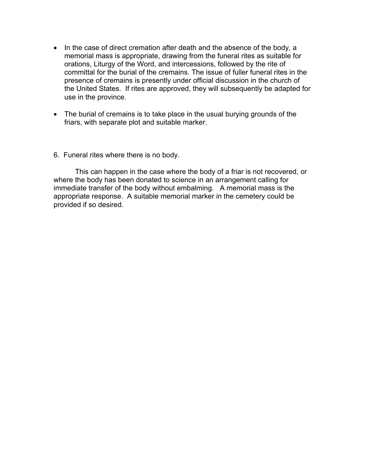- In the case of direct cremation after death and the absence of the body, a memorial mass is appropriate, drawing from the funeral rites as suitable for orations, Liturgy of the Word, and intercessions, followed by the rite of committal for the burial of the cremains. The issue of fuller funeral rites in the presence of cremains is presently under official discussion in the church of the United States. If rites are approved, they will subsequently be adapted for use in the province.
- The burial of cremains is to take place in the usual burying grounds of the friars, with separate plot and suitable marker.
- 6. Funeral rites where there is no body.

This can happen in the case where the body of a friar is not recovered, or where the body has been donated to science in an arrangement calling for immediate transfer of the body without embalming. A memorial mass is the appropriate response. A suitable memorial marker in the cemetery could be provided if so desired.